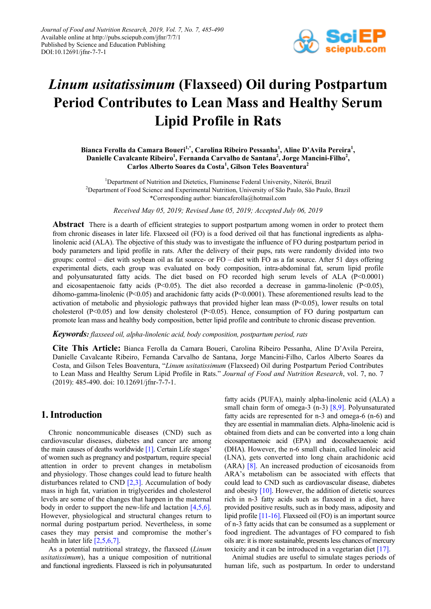

# *Linum usitatissimum* **(Flaxseed) Oil during Postpartum Period Contributes to Lean Mass and Healthy Serum Lipid Profile in Rats**

Bianca Ferolla da Camara Boueri<sup>1,\*</sup>, Carolina Ribeiro Pessanha<sup>1</sup>, Aline D'Avila Pereira<sup>1</sup>, Danielle Cavalcante Ribeiro<sup>1</sup>, Fernanda Carvalho de Santana<sup>2</sup>, Jorge Mancini-Filho<sup>2</sup>, **Carlos Alberto Soares da Costa<sup>1</sup> , Gilson Teles Boaventura<sup>2</sup>**

<sup>1</sup>Department of Nutrition and Dietetics, Fluminense Federal University, Niterói, Brazil <sup>2</sup>Department of Food Science and Experimental Nutrition, University of São Paulo, São Paulo, Brazil \*Corresponding author: biancaferolla@hotmail.com

*Received May 05, 2019; Revised June 05, 2019; Accepted July 06, 2019*

**Abstract** There is a dearth of efficient strategies to support postpartum among women in order to protect them from chronic diseases in later life. Flaxseed oil (FO) is a food derived oil that has functional ingredients as alphalinolenic acid (ALA). The objective of this study was to investigate the influence of FO during postpartum period in body parameters and lipid profile in rats. After the delivery of their pups, rats were randomly divided into two groups: control – diet with soybean oil as fat source- or FO – diet with FO as a fat source. After 51 days offering experimental diets, each group was evaluated on body composition, intra-abdominal fat, serum lipid profile and polyunsaturated fatty acids. The diet based on FO recorded high serum levels of ALA (P<0.0001) and eicosapentaenoic fatty acids  $(P<0.05)$ . The diet also recorded a decrease in gamma-linolenic  $(P<0.05)$ , dihomo-gamma-linolenic ( $P \le 0.05$ ) and arachidonic fatty acids ( $P \le 0.0001$ ). These aforementioned results lead to the activation of metabolic and physiologic pathways that provided higher lean mass  $(P<0.05)$ , lower results on total cholesterol (P<0.05) and low density cholesterol (P<0.05). Hence, consumption of FO during postpartum can promote lean mass and healthy body composition, better lipid profile and contribute to chronic disease prevention.

#### *Keywords: flaxseed oil, alpha-linolenic acid, body composition, postpartum period, rats*

**Cite This Article:** Bianca Ferolla da Camara Boueri, Carolina Ribeiro Pessanha, Aline D'Avila Pereira, Danielle Cavalcante Ribeiro, Fernanda Carvalho de Santana, Jorge Mancini-Filho, Carlos Alberto Soares da Costa, and Gilson Teles Boaventura, "*Linum usitatissimum* (Flaxseed) Oil during Postpartum Period Contributes to Lean Mass and Healthy Serum Lipid Profile in Rats." *Journal of Food and Nutrition Research*, vol. 7, no. 7 (2019): 485-490. doi: 10.12691/jfnr-7-7-1.

# **1. Introduction**

Chronic noncommunicable diseases (CND) such as cardiovascular diseases, diabetes and cancer are among the main causes of deaths worldwide [\[1\].](#page-3-0) Certain Life stages' of women such as pregnancy and postpartum, require special attention in order to prevent changes in metabolism and physiology. Those changes could lead to future health disturbances related to CND  $[2,3]$ . Accumulation of body mass in high fat, variation in triglycerides and cholesterol levels are some of the changes that happen in the maternal body in order to support the new-life and lactation [\[4,5,6\].](#page-3-2) However, physiological and structural changes return to normal during postpartum period. Nevertheless, in some cases they may persist and compromise the mother's health in later life [\[2,5,6,7\].](#page-3-1)

As a potential nutritional strategy, the flaxseed (*Linum usitatissimum*), has a unique composition of nutritional and functional ingredients. Flaxseed is rich in polyunsaturated fatty acids (PUFA), mainly alpha-linolenic acid (ALA) a small chain form of omega-3 (n-3) [\[8,9\].](#page-4-0) Polyunsaturated fatty acids are represented for n-3 and omega-6 (n-6) and they are essential in mammalian diets. Alpha-linolenic acid is obtained from diets and can be converted into a long chain eicosapentaenoic acid (EPA) and docosahexaenoic acid (DHA). However, the n-6 small chain, called linoleic acid (LNA), gets converted into long chain arachidonic acid (ARA) [\[8\].](#page-4-0) An increased production of eicosanoids from ARA's metabolism can be associated with effects that could lead to CND such as cardiovascular disease, diabetes and obesity [\[10\].](#page-4-1) However, the addition of dietetic sources rich in n-3 fatty acids such as flaxseed in a diet, have provided positive results, such as in body mass, adiposity and lipid profile [\[11-16\].](#page-4-2) Flaxseed oil (FO) is an important source of n-3 fatty acids that can be consumed as a supplement or food ingredient. The advantages of FO compared to fish oils are: it is more sustainable, presents less chances of mercury toxicity and it can be introduced in a vegetarian diet [\[17\].](#page-4-3)

Animal studies are useful to simulate stages periods of human life, such as postpartum. In order to understand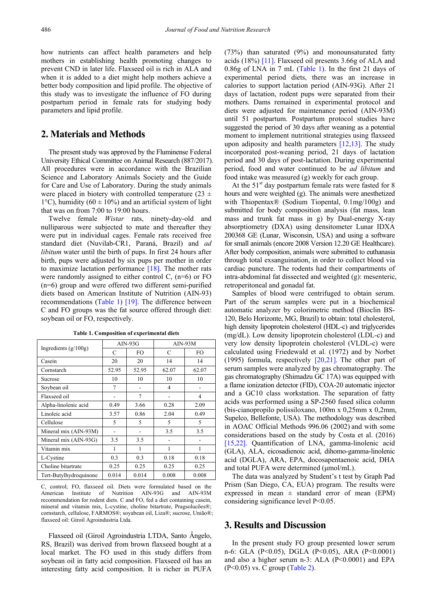how nutrients can affect health parameters and help mothers in establishing health promoting changes to prevent CND in later life. Flaxseed oil is rich in ALA and when it is added to a diet might help mothers achieve a better body composition and lipid profile. The objective of this study was to investigate the influence of FO during postpartum period in female rats for studying body parameters and lipid profile.

# **2. Materials and Methods**

The present study was approved by the Fluminense Federal University Ethical Committee on Animal Research (887/2017). All procedures were in accordance with the Brazilian Science and Laboratory Animals Society and the Guide for Care and Use of Laboratory. During the study animals were placed in biotery with controlled temperature (23  $\pm$ 1<sup>o</sup>C), humidity (60  $\pm$  10%) and an artificial system of light that was on from 7:00 to 19:00 hours.

Twelve female *Wistar* rats, ninety-day-old and nulliparous were subjected to mate and thereafter they were put in individual cages. Female rats received free standard diet (Nuvilab-CR1, Paraná, Brazil) and *ad libitum* water until the birth of pups. In first 24 hours after birth, pups were adjusted by six pups per mother in order to maximize lactation performance  $[18]$ . The mother rats were randomly assigned to either control C,  $(n=6)$  or FO (n=6) group and were offered two different semi-purified diets based on American Institute of Nutrition (AIN-93) recommendations [\(Table 1\)](#page-1-0) [\[19\].](#page-4-5) The difference between C and FO groups was the fat source offered through diet: soybean oil or FO, respectively.

<span id="page-1-0"></span>

|                        | $AIN-93G$ |       | $AIN-93M$ |       |
|------------------------|-----------|-------|-----------|-------|
| Ingredients $(g/100g)$ | C         | FO.   | C         | FO.   |
| Casein                 | 20        | 20    | 14        | 14    |
| Cornstarch             | 52.95     | 52.95 | 62.07     | 62.07 |
| Sucrose                | 10        | 10    | 10        | 10    |
| Soybean oil            | 7         |       | 4         |       |
| Flaxseed oil           | ۰         | 7     |           | 4     |
| Alpha-linolenic acid   | 0.49      | 3.66  | 0.28      | 2.09  |
| Linoleic acid          | 3.57      | 0.86  | 2.04      | 0.49  |
| Cellulose              | 5         | 5     | 5         | 5     |
| Mineral mix (AIN-93M)  |           |       | 3.5       | 3.5   |
| Mineral mix (AIN-93G)  | 3.5       | 3.5   |           |       |
| Vitamin mix            | 1         | 1     | 1         | 1     |
| L-Cystine              | 0.3       | 0.3   | 0.18      | 0.18  |
| Choline bitartrate     | 0.25      | 0.25  | 0.25      | 0.25  |
| Tert-Butylhydroquinone | 0.014     | 0.014 | 0.008     | 0.008 |

**Table 1. Composition of experimental diets**

C, control; FO, flaxseed oil. Diets were formulated based on the American Institute of Nutrition AIN-93G and AIN-93M Institute of Nutrition AIN-93G and AIN-93M recommendation for rodent diets. C and FO, fed a diet containing casein, mineral and vitamin mix, L-cystine, choline bitartrate, Pragsolucões®; cornstarch, cellulose, FARMOS®; soyabean oil, Liza®; sucrose, União®; flaxseed oil: Giroil Agroindustria Ltda.

Flaxseed oil (Giroil Agroindustria LTDA, Santo Ângelo, RS, Brazil) was derived from brown flaxseed bought at a local market. The FO used in this study differs from soybean oil in fatty acid composition. Flaxseed oil has an interesting fatty acid composition. It is richer in PUFA (73%) than saturated (9%) and monounsaturated fatty acids (18%) [\[11\].](#page-4-2) Flaxseed oil presents 3.66g of ALA and 0.86g of LNA in 7 mL [\(Table 1\)](#page-1-0). In the first 21 days of experimental period diets, there was an increase in calories to support lactation period (AIN-93G). After 21 days of lactation, rodent pups were separated from their mothers. Dams remained in experimental protocol and diets were adjusted for maintenance period (AIN-93M) until 51 postpartum. Postpartum protocol studies have suggested the period of 30 days after weaning as a potential moment to implement nutritional strategies using flaxseed upon adiposity and health parameters  $[12,13]$ . The study incorporated post-weaning period, 21 days of lactation period and 30 days of post-lactation. During experimental period, food and water continued to be *ad libitum* and food intake was measured (g) weekly for each group.

At the  $51<sup>st</sup>$  day postpartum female rats were fasted for 8 hours and were weighted (g). The animals were anesthetized with Thiopentax<sup>®</sup> (Sodium Tiopental, 0.1mg/100g) and submitted for body composition analysis (fat mass, lean mass and trunk fat mass in g) by Dual-energy X-ray absorptiometry (DXA) using densitometer Lunar IDXA 200368 GE (Lunar, Wisconsin, USA) and using a software for small animals (encore 2008 Version 12.20 GE Healthcare). After body composition, animals were submitted to euthanasia through total exsanguination, in order to collect blood via cardiac puncture. The rodents had their compartments of intra-abdominal fat dissected and weighted (g): mesenteric, retroperitoneal and gonadal fat.

Samples of blood were centrifuged to obtain serum. Part of the serum samples were put in a biochemical automatic analyzer by colorimetric method (Bioclin BS-120, Belo Horizonte, MG, Brazil) to obtain: total cholesterol, high density lipoprotein cholesterol (HDL-c) and triglycerides (mg/dL). Low density lipoprotein cholesterol (LDL-c) and very low density lipoprotein cholesterol (VLDL-c) were calculated using Friedewald et al. (1972) and by Norbet (1995) formula, respectively [\[20,21\].](#page-4-7) The other part of serum samples were analyzed by gas chromatography. The gas chromatography (Shimadzu GC 17A) was equipped with a flame ionization detector (FID), COA-20 automatic injector and a GC10 class workstation. The separation of fatty acids was performed using a SP-2560 fused silica column (bis-cianopropilo polissiloxano, 100m x 0,25mm x 0,2mm, Supelco, Bellefonte, USA). The methodology was described in AOAC Official Methods 996.06 (2002) and with some considerations based on the study by Costa et al. (2016) [\[15,22\].](#page-4-8) Quantification of LNA, gamma-linolenic acid (GLA), ALA, eicosadienoic acid, dihomo-gamma-linolenic acid (DGLA), ARA, EPA, docosapentaenoic acid, DHA and total PUFA were determined (μmol/mL).

The data was analyzed by Student's t test by Graph Pad Prism (San Diego, CA, EUA) program. The results were expressed in mean  $\pm$  standard error of mean (EPM) considering significance level P<0.05.

#### **3. Results and Discussion**

In the present study FO group presented lower serum n-6: GLA (P<0.05), DGLA (P<0.05), ARA (P<0.0001) and also a higher serum n-3: ALA  $(P<0.0001)$  and EPA (P<0.05) vs. C group [\(Table 2\)](#page-2-0).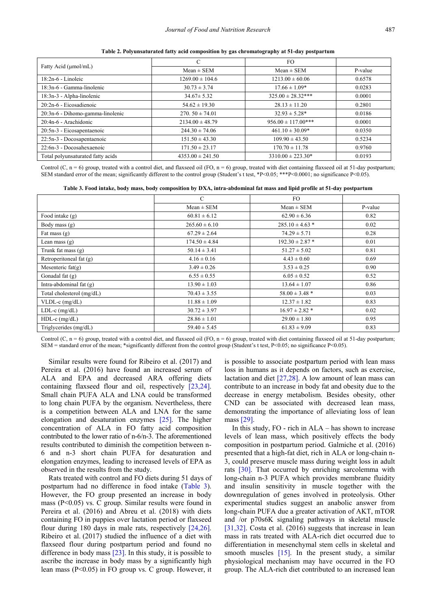<span id="page-2-0"></span>

|                                   |                      | FO.                    |         |
|-----------------------------------|----------------------|------------------------|---------|
| Fatty Acid (µmol/mL)              |                      |                        |         |
|                                   | $Mean \pm SEM$       | $Mean \pm SEM$         | P-value |
| 18:2n-6 - Linoleic                | $1269.00 \pm 104.6$  | $1213.00 \pm 60.06$    | 0.6578  |
| 18:3n-6 - Gamma-linolenic         | $30.73 \pm 3.74$     | $17.66 \pm 1.09*$      | 0.0283  |
| 18:3n-3 - Alpha-linolenic         | $34.67 \pm 5.32$     | $325.00 \pm 28.32***$  | 0.0001  |
| 20:2n-6 - Eicosadienoic           | $54.62 \pm 19.30$    | $28.13 \pm 11.20$      | 0.2801  |
| 20:3n-6 - Dihomo-gamma-linolenic  | $270.50 \pm 74.01$   | $32.93 \pm 5.28^*$     | 0.0186  |
| 20:4n-6 - Arachidonic             | $2134.00 \pm 48.79$  | $956.00 \pm 117.00***$ | 0.0001  |
| 20:5n-3 - Eicosapentaenoic        | $244.30 \pm 74.06$   | $461.10 \pm 30.09*$    | 0.0350  |
| 22:5n-3 - Docosapentaenoic        | $151.50 \pm 43.30$   | $109.90 \pm 43.50$     | 0.5234  |
| 22:6n-3 - Docosahexaenoic         | $171.50 \pm 23.17$   | $170.70 \pm 11.78$     | 0.9760  |
| Total polyunsaturated fatty acids | $4353.00 \pm 241.50$ | $3310.00 \pm 223.30*$  | 0.0193  |

**Table 2. Polyunsaturated fatty acid composition by gas chromatography at 51-day postpartum**

Control (C, n = 6) group, treated with a control diet, and flaxseed oil (FO, n = 6) group, treated with diet containing flaxseed oil at 51-day postpartum; SEM standard error of the mean; significantly different to the control group (Student's t test, \*P<0.05; \*\*\*P<0.0001; no significance P<0.05).

|  |  | Table 3. Food intake, body mass, body composition by DXA, intra-abdominal fat mass and lipid profile at 51-day postpartum |
|--|--|---------------------------------------------------------------------------------------------------------------------------|
|  |  |                                                                                                                           |

<span id="page-2-1"></span>

|                           | $\mathcal{C}$     | FO.                 |         |
|---------------------------|-------------------|---------------------|---------|
|                           | $Mean \pm SEM$    | $Mean \pm SEM$      | P-value |
| Food intake $(g)$         | $60.81 \pm 6.12$  | $62.90 \pm 6.36$    | 0.82    |
| Body mass (g)             | $265.60 \pm 6.10$ | $285.10 \pm 4.63$ * | 0.02    |
| Fat mass (g)              | $67.29 \pm 2.64$  | $74.29 \pm 5.71$    | 0.28    |
| Lean mass $(g)$           | $174.50 \pm 4.84$ | $192.30 \pm 2.87$ * | 0.01    |
| Trunk fat mass $(g)$      | $50.14 \pm 3.41$  | $51.27 \pm 5.02$    | 0.81    |
| Retroperitoneal fat (g)   | $4.16 \pm 0.16$   | $4.43 \pm 0.60$     | 0.69    |
| Mesenteric $fat(g)$       | $3.49 \pm 0.26$   | $3.53 \pm 0.25$     | 0.90    |
| Gonadal fat $(g)$         | $6.55 \pm 0.55$   | $6.05 \pm 0.52$     | 0.52    |
| Intra-abdominal fat $(g)$ | $13.90 \pm 1.03$  | $13.64 \pm 1.07$    | 0.86    |
| Total cholesterol (mg/dL) | $70.43 \pm 3.55$  | $58.00 \pm 3.48$ *  | 0.03    |
| $VLDL-c$ (mg/dL)          | $11.88 \pm 1.09$  | $12.37 \pm 1.82$    | 0.83    |
| $LDL-c$ (mg/dL)           | $30.72 \pm 3.97$  | $16.97 \pm 2.82$ *  | 0.02    |
| $HDL-c$ (mg/dL)           | $28.86 \pm 1.01$  | $29.00 \pm 1.80$    | 0.95    |
| Triglycerides (mg/dL)     | $59.40 \pm 5.45$  | $61.83 \pm 9.09$    | 0.83    |

Control (C,  $n = 6$ ) group, treated with a control diet, and flaxseed oil (FO,  $n = 6$ ) group, treated with diet containing flaxseed oil at 51-day postpartum; SEM = standard error of the mean; \*significantly different from the control group (Student's t test, P<0.05; no significance P<0.05).

Similar results were found for Ribeiro et al. (2017) and Pereira et al. (2016) have found an increased serum of ALA and EPA and decreased ARA offering diets containing flaxseed flour and oil, respectively [\[23,24\].](#page-4-9) Small chain PUFA ALA and LNA could be transformed to long chain PUFA by the organism. Nevertheless, there is a competition between ALA and LNA for the same elongation and desaturation enzymes [\[25\].](#page-4-10) The higher concentration of ALA in FO fatty acid composition contributed to the lower ratio of n-6/n-3. The aforementioned results contributed to diminish the competition between n-6 and n-3 short chain PUFA for desaturation and elongation enzymes, leading to increased levels of EPA as observed in the results from the study.

Rats treated with control and FO diets during 51 days of postpartum had no difference in food intake [\(Table 3\)](#page-2-1). However, the FO group presented an increase in body mass (P<0.05) vs. C group. Similar results were found in Pereira et al. (2016) and Abreu et al. (2018) with diets containing FO in puppies over lactation period or flaxseed flour during 180 days in male rats, respectively [\[24,26\].](#page-4-11) Ribeiro et al. (2017) studied the influence of a diet with flaxseed flour during postpartum period and found no difference in body mass [\[23\].](#page-4-9) In this study, it is possible to ascribe the increase in body mass by a significantly high lean mass (P<0.05) in FO group vs. C group. However, it is possible to associate postpartum period with lean mass loss in humans as it depends on factors, such as exercise, lactation and diet  $[27,28]$ . A low amount of lean mass can contribute to an increase in body fat and obesity due to the decrease in energy metabolism. Besides obesity, other CND can be associated with decreased lean mass, demonstrating the importance of alleviating loss of lean mas[s \[29\].](#page-4-13)

In this study, FO - rich in ALA – has shown to increase levels of lean mass, which positively effects the body composition in postpartum period. Galmiche et al. (2016) presented that a high-fat diet, rich in ALA or long-chain n-3, could preserve muscle mass during weight loss in adult rats [\[30\].](#page-4-14) That occurred by enriching sarcolemma with long-chain n-3 PUFA which provides membrane fluidity and insulin sensitivity in muscle together with the downregulation of genes involved in proteolysis. Other experimental studies suggest an anabolic answer from long-chain PUFA due a greater activation of AKT, mTOR and /or p70s6K signaling pathways in skeletal muscle [\[31,32\].](#page-4-15) Costa et al. (2016) suggests that increase in lean mass in rats treated with ALA-rich diet occurred due to differentiation in mesenchymal stem cells in skeletal and smooth muscles [\[15\].](#page-4-8) In the present study, a similar physiological mechanism may have occurred in the FO group. The ALA-rich diet contributed to an increased lean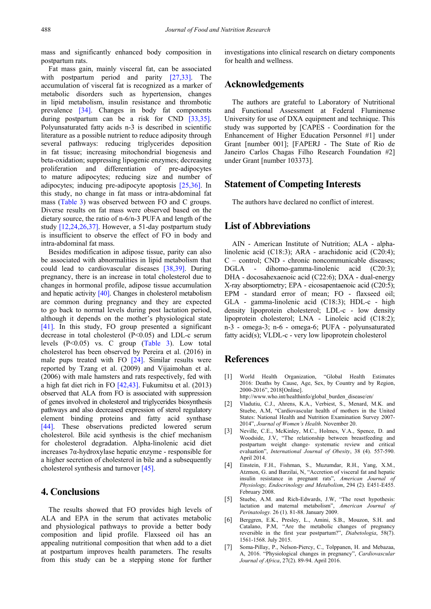mass and significantly enhanced body composition in postpartum rats.

Fat mass gain, mainly visceral fat, can be associated with postpartum period and parity [\[27,33\].](#page-4-12) The accumulation of visceral fat is recognized as a marker of metabolic disorders such as hypertension, changes in lipid metabolism, insulin resistance and thrombotic prevalence [\[34\].](#page-4-16) Changes in body fat components during postpartum can be a risk for CND [\[33,35\].](#page-4-17) Polyunsaturated fatty acids n-3 is described in scientific literature as a possible nutrient to reduce adiposity through several pathways: reducing triglycerides deposition in fat tissue; increasing mitochondrial biogenesis and beta-oxidation; suppressing lipogenic enzymes; decreasing proliferation and differentiation of pre-adipocytes to mature adipocytes; reducing size and number of adipocytes; inducing pre-adipocyte apoptosis [\[25,36\].](#page-4-10) In this study, no change in fat mass or intra-abdominal fat mass [\(Table 3\)](#page-2-1) was observed between FO and C groups. Diverse results on fat mass were observed based on the dietary source, the ratio of n-6/n-3 PUFA and length of the study [\[12,24,26,37\].](#page-4-6) However, a 51-day postpartum study is insufficient to observe the effect of FO in body and intra-abdominal fat mass.

Besides modification in adipose tissue, parity can also be associated with abnormalities in lipid metabolism that could lead to cardiovascular diseases [\[38,39\].](#page-4-18) During pregnancy, there is an increase in total cholesterol due to changes in hormonal profile, adipose tissue accumulation and hepatic activity [\[40\].](#page-4-19) Changes in cholesterol metabolism are common during pregnancy and they are expected to go back to normal levels during post lactation period, although it depends on the mother's physiological state [\[41\].](#page-4-20) In this study, FO group presented a significant decrease in total cholesterol (P<0.05) and LDL-c serum levels (P<0.05) vs. C group [\(Table 3\)](#page-2-1). Low total cholesterol has been observed by Pereira et al. (2016) in male pups treated with FO [\[24\].](#page-4-11) Similar results were reported by Tzang et al. (2009) and Vijaimohan et al. (2006) with male hamsters and rats respectively, fed with a high fat diet rich in FO [\[42,43\].](#page-4-21) Fukumitsu et al. (2013) observed that ALA from FO is associated with suppression of genes involved in cholesterol and triglycerides biosynthesis pathways and also decreased expression of sterol regulatory element binding proteins and fatty acid synthase [\[44\].](#page-5-0) These observations predicted lowered serum cholesterol. Bile acid synthesis is the chief mechanism for cholesterol degradation. Alpha-linolenic acid diet increases 7α-hydroxylase hepatic enzyme - responsible for a higher secretion of cholesterol in bile and a subsequently cholesterol synthesis and turnove[r \[45\].](#page-5-1)

### **4. Conclusions**

The results showed that FO provides high levels of ALA and EPA in the serum that activates metabolic and physiological pathways to provide a better body composition and lipid profile. Flaxseed oil has an appealing nutritional composition that when add to a diet at postpartum improves health parameters. The results from this study can be a stepping stone for further

investigations into clinical research on dietary components for health and wellness.

#### **Acknowledgements**

The authors are grateful to Laboratory of Nutritional and Functional Assessment at Federal Fluminense University for use of DXA equipment and technique. This study was supported by [CAPES - Coordination for the Enhancement of Higher Education Personnel #1] under Grant [number 001]; [FAPERJ - The State of Rio de Janeiro Carlos Chagas Filho Research Foundation #2] under Grant [number 103373].

#### **Statement of Competing Interests**

The authors have declared no conflict of interest.

### **List of Abbreviations**

AIN - American Institute of Nutrition; ALA - alphalinolenic acid (C18:3); ARA - arachidonic acid (C20:4); C – control; CND - chronic noncommunicable diseases; DGLA - dihomo-gamma-linolenic acid (C20:3); DHA - docosahexaenoic acid (C22:6); DXA - dual-energy X-ray absorptiometry; EPA - eicosapentaenoic acid (C20:5); EPM - standard error of mean; FO - flaxseed oil; GLA - gamma-linolenic acid (C18:3); HDL-c - high density lipoprotein cholesterol; LDL-c - low density lipoprotein cholesterol; LNA - Linoleic acid (C18:2); n-3 - omega-3; n-6 - omega-6; PUFA - polyunsaturated fatty acid(s); VLDL-c - very low lipoprotein cholesterol

#### **References**

- <span id="page-3-0"></span>[1] World Health Organization, "Global Health Estimates 2016: Deaths by Cause, Age, Sex, by Country and by Region, 2000-2016", 2018[Online].
- <span id="page-3-1"></span>http://www.who.int/healthinfo/global\_burden\_disease/en/ [2] Vladutiu, C.J., Ahrens, K.A., Verbiest, S., Menard, M.K. and Stuebe, A.M, "Cardiovascular health of mothers in the United States: National Health and Nutrition Examination Survey 2007- 2014", *Journal of Women's Health*. November 20.
- [3] Neville, C.E., McKinley, M.C., Holmes, V.A., Spence, D. and Woodside, J.V, "The relationship between breastfeeding and postpartum weight change- systematic review and critical evaluation", *International Journal of Obesity*, 38 (4). 557-590. April 2014.
- <span id="page-3-2"></span>[4] Einstein, F.H., Fishman, S., Muzumdar, R.H., Yang, X.M., Atzmon, G. and Barzilai, N, "Accretion of visceral fat and hepatic insulin resistance in pregnant rats", *American Journal of Physiology, Endocrinology and Metabolism*, 294 (2). E451-E455. February 2008.
- [5] Stuebe, A.M. and Rich-Edwards, J.W, "The reset hypothesis: lactation and maternal metabolism", *American Journal of Perinatology.* 26 (1). 81-88. January 2009.
- [6] Berggren, E.K., Presley, L., Amini, S.B., Mouzon, S.H. and Catalano, P.M, "Are the metabolic changes of pregnancy reversible in the first year postpartum?", *Diabetologia*, 58(7). 1561-1568. July 2015.
- [7] Soma-Pillay, P., Nelson-Piercy, C., Tolppanen, H. and Mebazaa, A, 2016. "Physiological changes in pregnancy", *Cardiovascular Journal of Africa*, 27(2). 89-94. April 2016.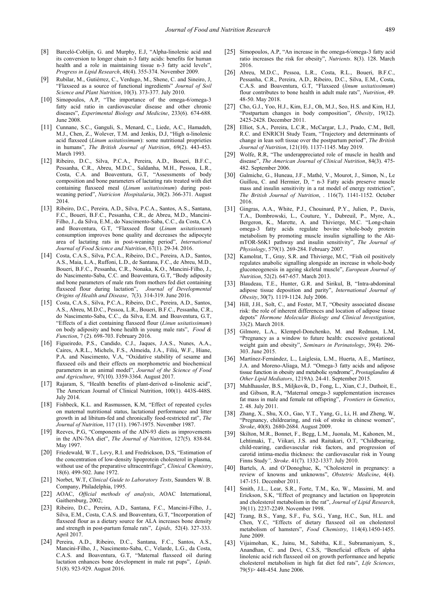- <span id="page-4-0"></span>[8] Barceló-Coblijn, G. and Murphy, E.J, "Alpha-linolenic acid and its conversion to longer chain n-3 fatty acids: benefits for human health and a role in maintaining tissue n-3 fatty acid levels", *Progress in Lipid Research*, 48(4). 355-374. November 2009.
- [9] Rubilar, M., Gutiérrez, C., Verdugo, M., Shene, C. and Sineiro, J, "Flaxseed as a source of functional ingredients" *Journal of Soil Science and Plant Nutrition*, 10(3). 373-377. July 2010.
- <span id="page-4-1"></span>[10] Simopoulos, A.P. "The importance of the omega-6/omega-3 fatty acid ratio in cardiovascular disease and other chronic diseases", *Experimental Biology and Medicine*, 233(6). 674-688. June 2008.
- <span id="page-4-2"></span>[11] Cunnane, S.C., Ganguli, S., Menard, C., Liede, A.C., Hamadeh, M.J., Chen, Z., Wolever, T.M. and Jenkis, D.J, "High α-linolenic acid flaxseed (*Linum usitatissimum*): some nutritional proprieties in humans", *The British Journal of Nutrition*, 69(2). 443-453. March 1993.
- <span id="page-4-6"></span>[12] Ribeiro, D.C., Silva, P.C.A., Pereira, A.D., Boueri, B.F.C., Pessanha, C.R., Abreu, M.D.C., Saldanha, M.H., Pessoa, L.R., Costa, C.A. and Boaventura, G.T, "Assessments of body composition and bone parameters of lactating rats treated with diet containing flaxseed meal (*Linum usitatissinum*) during postweaning period", *Nutricion Hospitalaria*, 30(2). 366-371. August 2014.
- [13] Ribeiro, D.C., Pereira, A.D., Silva, P.C.A., Santos, A.S., Santana, F.C., Boueri, B.F.C., Pessanha, C.R., de Abreu, M.D., Mancini-Filho, J., da Silva, E.M., do Nascimento-Saba, C.C., da Costa, C.A and Boaventura, G.T, "Flaxseed flour (*Linum usitatissnum*) consumption improves bone quality and decreases the adipocyte area of lactating rats in post-weaning period", *International Journal of Food Science and Nutrition*, 67(1). 29-34. 2016.
- [14] Costa, C.A.S., Silva, P.C.A., Ribeiro, D.C., Pereira, A.D., Santos, A.S., Maia, L.A., Ruffoni, L.D., de Santana, F.C., de Abreu, M.D., Boueri, B.F.C., Pessanha, C.R., Nonaka, K.O., Mancini-Filho, J., do Nascimento-Saba, C.C. and Boaventura, G.T, "Body adiposity and bone parameters of male rats from mothers fed diet containing flaxseed flour during lactation", *Journal of Developmental Origins of Health and Disease*, 7(3). 314-319. June 2016.
- <span id="page-4-8"></span>[15] Costa, C.A.S., Silva, P.C.A., Ribeiro, D.C., Pereira, A.D., Santos, A.S., Abreu, M.D.C., Pessoa, L.R., Boueri, B.F.C., Pessanha, C.R., do Nascimento-Saba, C.C., da Silva, E.M. and Boaventura, G.T, "Effects of a diet containing flaxseed flour (*Linun usitatissimum*) on body adiposity and bone health in young male rats", *Food & Function*, 7 (2). 698-703. February 2016.
- [16] Figueiredo, P.S., Candido, C.J., Jaques, J.A.S., Nunes, A.A., Caires, A.R.L., Michels, F.S., Almeida, J.A., Filiú, W.F., Hiane, P.A. and Nascimento, V.A, "Oxidative stability of sesame and flaxseed oils and their effects on morphometric and biochemical parameters in an animal model", *Journal of the Science of Food and Agriculture*, 97(10). 3359-3364. August 2017.
- <span id="page-4-3"></span>[17] Rajaram, S, "Health benefits of plant-derived α-linolenic acid", The American Journal of Clinical Nutrition, 100(1). 443S-448S. July 2014.
- <span id="page-4-4"></span>[18] Fishbeck, K.L. and Rasmussen, K.M, "Effect of repeated cycles on maternal nutritional status, lactational performance and litter growth in ad libitum-fed and chronically food-restricted rat", *The Journal of Nutrition*, 117 (11). 1967-1975. November 1987.
- <span id="page-4-5"></span>[19] Reeves, P.G, "Components of the AIN-93 diets as improvements in the AIN-76A diet", *The Journal of Nutrition*, 127(5). 838-84. May 1997.
- <span id="page-4-7"></span>[20] Friedewald, W.T., Levy, R.I. and Fredrickson, D.S, "Estimation of the concentration of low-density lipoprotein cholesterol in plasma, without use of the preparative ultracentrifuge", *Clinical Chemistry*, 18(6). 499-502. June 1972.
- [21] Norbet, W.T, *Clinical Guide to Laboratory Tests*, Saunders W. B. Company, Philadelphia, 1995.
- [22] AOAC, *Official methods of analysis*, AOAC International, Gaithersburg, 2002;
- <span id="page-4-9"></span>[23] Ribeiro, D.C., Pereira, A.D., Santana, F.C., Mancini-Filho, J., Silva, E.M., Costa, C.A.S. and Boaventura, G.T, "Incorporation of flaxseed flour as a dietary source for ALA increases bone density and strength in post-partum female rats", *Lipids*, 52(4). 327-333. April 2017.
- <span id="page-4-11"></span>[24] Pereira, A.D., Ribeiro, D.C., Santana, F.C., Santos, A.S., Mancini-Filho, J., Nascimento-Saba, C., Velarde, L.G., da Costa, C.A.S. and Boaventura, G.T, "Maternal flaxseed oil during lactation enhances bone development in male rat pups", *Lipids*. 51(8). 923-929. August 2016.
- <span id="page-4-10"></span>[25] Simopoulos, A.P, "An increase in the omega-6/omega-3 fatty acid ratio increases the risk for obesity", *Nutrients*. 8(3). 128. March 2016.
- [26] Abreu, M.D.C., Pessoa, L.R., Costa, R.L., Boueri, B.F.C., Pessanha, C.R., Pereira, A.D., Ribeiro, D.C., Silva, E.M., Costa, C.A.S. and Boaventura, G.T, "Flaxseed (*linum usitatissimum*) flour contributes to bone health in adult male rats", *Nutrition*, 49. 48-50. May 2018.
- <span id="page-4-12"></span>[27] Cho, G.J., Yoo, H.J., Kim, E.J., Oh, M.J., Seo, H.S. and Kim, H.J, "Postpartum changes in body composition", *Obesity*, 19(12). 2425-2428. December 2011.
- [28] Elliot, S.A., Pereira, L.C.R., McCargar, L.J., Prado, C.M., Bell, R.C. and ENRICH Study Team, "Trajectory and determinants of change in lean soft tissue over the postpartum period", *The British Journal of Nutrition*, 121(10). 1137-1145. May 2019.
- <span id="page-4-13"></span>[29] Wolfe, R.R, "The underappreciated role of muscle in health and disease", *The American Journal of Clinical Nutrition*, 84(3). 475- 482. September 2006.
- <span id="page-4-14"></span>[30] Galmiche, G., Huneau, J.F., Mathé, V., Mourot, J., Simon, N., Le Guillou, C. and Hermier, D, " n-3 Fatty acids preserve muscle mass and insulin sensitivity in a rat model of energy restriction", *The British Journal of Nutrition*, . 116(7). 1141-1152. October 2016.
- <span id="page-4-15"></span>[31] Gingras, A.A., White, P.J., Chouinard, P.Y., Julien, P., Davis, T.A., Dombrowski, L., Couture, Y., Dubreuil, P., Myre, A., Bergeron, K., Marette, A. and Thivierge, M.C. "Long-chain omega-3 fatty acids regulate bovine whole-body protein metabolism by promoting muscle insulin signalling to the AktmTOR-S6K1 pathway and insulin sensitivity", *The Journal of Physiology*, 579(1). 269-284. February 2007.
- [32] Kamolrat, T., Gray, S.R. and Thivierge, M.C. "Fish oil positively regulates anabolic signalling alongside an increase in whole-body gluconeogenesis in ageing skeletal muscle", *European Journal of Nutrition*, 52(2). 647-657. March 2013.
- <span id="page-4-17"></span>[33] Blaudeau, T.E., Hunter, G.R. and Sirikul, B, "Intra-abdominal adipose tissue deposition and parity", *International Journal of Obesity*, 30(7). 1119-1124. July 2006.
- <span id="page-4-16"></span>[34] Hill, J.H., Solt, C., and Foster, M.T, "Obesity associated disease risk: the role of inherent differences and location of adipose tissue depots" *Hormone Molecular Biology and Clinical Investigation*, 33(2). March 2018.
- [35] Gilmore, L.A., Klempel-Donchenko, M. and Redman, L.M, "Pregnancy as a window to future health: excessive gestational weight gain and obesity", *Seminars in Perinatology*, 39(4). 296- 303. June 2015.
- [36] Martínez-Fernández, L., Laiglesia, L.M., Huerta, A.E., Martínez, J.A. and Moreno-Aliaga, M.J. "Omega-3 fatty acids and adipose tissue function in obesity and metabolic syndrome", *Prostaglandins & Other Lipid Mediators*, 1219A). 24-41. September 2015.
- [37] Muhlhausler, B.S., Miljkovik, D., Fong, L., Xian, C.J., Duthoit, E., and Gibson, R.A, "Maternal omega-3 supplementation increases fat mass in male and female rat offspring", *Frontiers in Genetics*, 2. 48. July 2011.
- <span id="page-4-18"></span>[38] Zhang, X., Shu, X.O., Gao, Y.T., Yang, G., Li, H. and Zheng, W, "Pregnancy, childrearing, and risk of stroke in chinese women", *Stroke*, 40(8). 2680-2684. August 2009.
- [39] Skilton, M.R., Bonnet, F., Begg, L.M., Juonala, M., Kahonen, M., Lehtimaki, T., Viikari, J.S. and Raitakari, O.T, "Childbearing, child-rearing, cardiovascular risk factors, and progression of carotid intima-media thickness: the cardiovascular risk in Young Finns Study*", Stroke*. 41(7). 1332-1337. July 2010.
- <span id="page-4-19"></span>[40] Bartels, A. and O'Donoghue, K, "Cholesterol in pregnancy: a review of knowns and unknowns", *Obstetric Medicine*, 4(4). 147-151. December 2011.
- <span id="page-4-20"></span>[41] Smith, J.L., Lear, S.R., Forte, T.M., Ko, W., Massimi, M. and Erickson, S.K, "Effect of pregnancy and lactation on lipoprotein and cholesterol metabolism in the rat", *Journal of Lipid Research*, 39(11). 2237-2249. November 1998.
- <span id="page-4-21"></span>[42] Tzang, B.S., Yang, S.F., Fu, S.G., Yang, H.C., Sun, H.L. and Chen, Y.C, "Effects of dietary flaxseed oil on cholesterol metabolism of hamsters", *Food Chemistry*, 114(4).1450-1455. June 2009.
- [43] Vijaimohan, K., Jainu, M., Sabitha, K.E., Subramaniyam, S., Anandhan, C. and Devi, C.S.S, "Beneficial effects of alpha linolenic acid rich flaxseed oil on growth performance and hepatic cholesterol metabolism in high fat diet fed rats", *Life Sciences*, 79(5)> 448-454. June 2006.